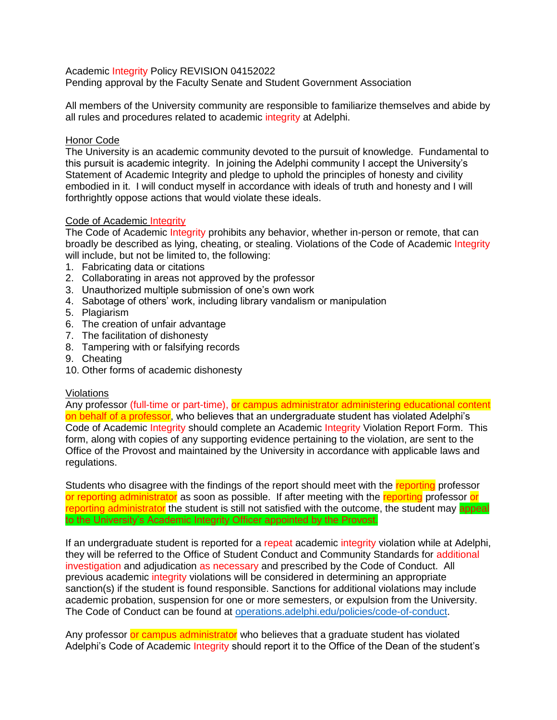Academic Integrity Policy REVISION 04152022

Pending approval by the Faculty Senate and Student Government Association

All members of the University community are responsible to familiarize themselves and abide by all rules and procedures related to academic integrity at Adelphi.

## Honor Code

The University is an academic community devoted to the pursuit of knowledge. Fundamental to this pursuit is academic integrity. In joining the Adelphi community I accept the University's Statement of Academic Integrity and pledge to uphold the principles of honesty and civility embodied in it. I will conduct myself in accordance with ideals of truth and honesty and I will forthrightly oppose actions that would violate these ideals.

# Code of Academic Integrity

The Code of Academic Integrity prohibits any behavior, whether in-person or remote, that can broadly be described as lying, cheating, or stealing. Violations of the Code of Academic Integrity will include, but not be limited to, the following:

- 1. Fabricating data or citations
- 2. Collaborating in areas not approved by the professor
- 3. Unauthorized multiple submission of one's own work
- 4. Sabotage of others' work, including library vandalism or manipulation
- 5. Plagiarism
- 6. The creation of unfair advantage
- 7. The facilitation of dishonesty
- 8. Tampering with or falsifying records
- 9. Cheating
- 10. Other forms of academic dishonesty

### Violations

Any professor (full-time or part-time), or campus administrator administering educational content on behalf of a professor, who believes that an undergraduate student has violated Adelphi's Code of Academic Integrity should complete an Academic Integrity Violation Report Form. This form, along with copies of any supporting evidence pertaining to the violation, are sent to the Office of the Provost and maintained by the University in accordance with applicable laws and regulations.

Students who disagree with the findings of the report should meet with the reporting professor or reporting administrator as soon as possible. If after meeting with the reporting professor or reporting administrator the student is still not satisfied with the outcome, the student may appeal to the University's Academic Integrity Officer appointed by the Provost.

If an undergraduate student is reported for a repeat academic integrity violation while at Adelphi, they will be referred to the Office of Student Conduct and Community Standards for additional investigation and adjudication as necessary and prescribed by the Code of Conduct. All previous academic integrity violations will be considered in determining an appropriate sanction(s) if the student is found responsible. Sanctions for additional violations may include academic probation, suspension for one or more semesters, or expulsion from the University. The Code of Conduct can be found at [operations.adelphi.edu/policies/code-of-conduct.](about:blank)

Any professor or campus administrator who believes that a graduate student has violated Adelphi's Code of Academic Integrity should report it to the Office of the Dean of the student's